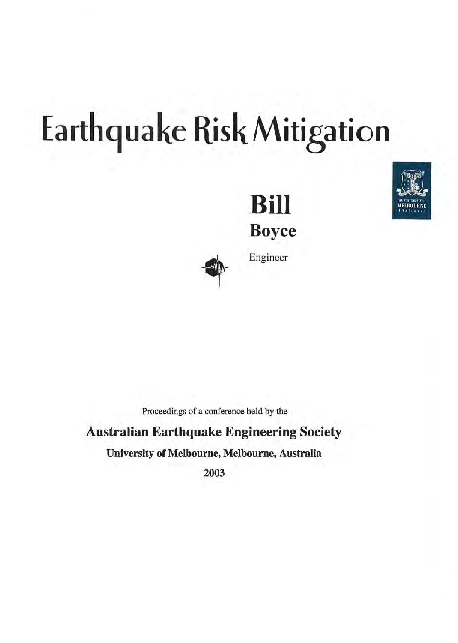# Earthquake Risk Mitigation







Engineer

Proceedings of a conference held by the

### Australian Earthquake Engineering Society

University of Melbourne, Melbourne, Australia

2003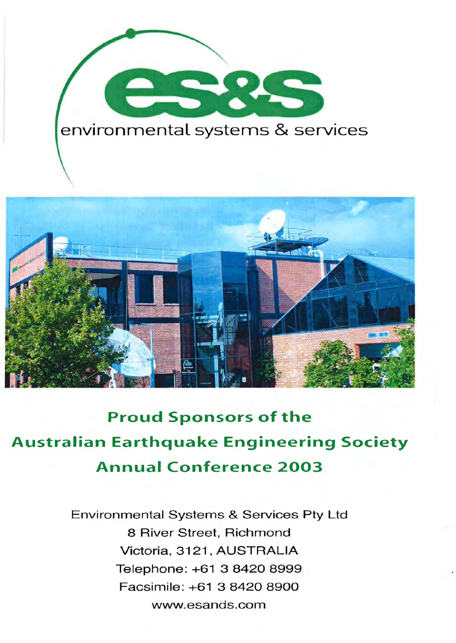



# **Proud Sponsors of the Australian Earthquake Engineering Society Annual Conference 2003**

Environmental Systems & Services Pty Ltd 8 River Street, Richmond Victoria, 3121, AUSTRALIA Telephone: +61 3 8420 8999 Facsimile: +61 3 8420 8900 www.esands.com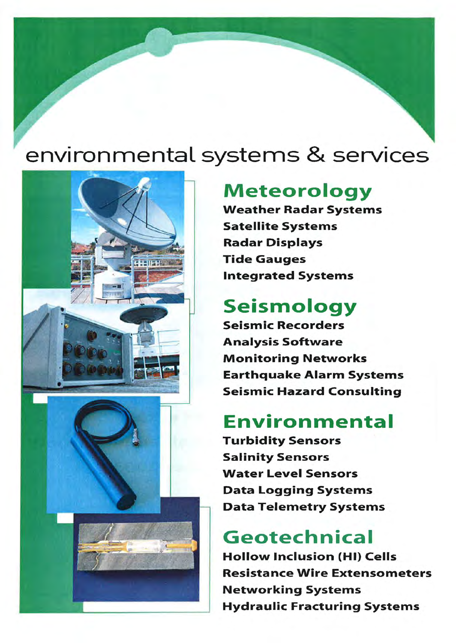# environmental systems & services



## **Meteorology**

Weather Radar Systems Satellite Systems Radar Displays Tide Gauges Integrated Systems

# **Seismology**

Seismic Recorders Analysis Software Monitoring Networks Earthquake Alarm Systems Seismic Hazard Consulting

## **Environmental**

Turbidity Sensors Salinity Sensors Water Level Sensors Data Logging Systems Data Telemetry Systems

# **Geotechnical**

Hollow Inclusion (HI) Cells Resistance Wire Extensometers Networking Systems Hydraulic Fracturing Systems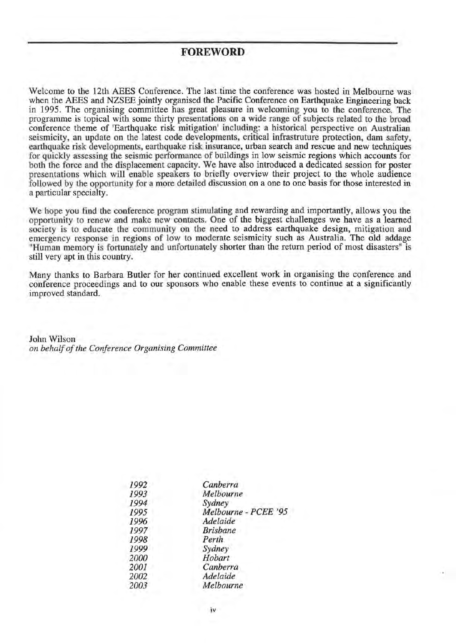#### **FOREWORD**

Welcome to the 12th AEES Conference. The last time the conference was hosted in Melbourne was when the AEES and NZSEE jointly organised the Pacific Conference on Earthquake Engineering back in 1995. The organising committee has great pleasure in welcoming you to the conference. The programme is topical with some thirty presentations on a wide range of subjects related to the broad conference theme of 'Earthquake risk mitigation' including: a historical perspective on Australian seismicity, an update on the latest code developments, critical infrastruture protection, dam safety, earthquake risk developments, earthquake risk insurance, urban search and rescue and new techniques for quickly assessing the seismic performance of buildings in low seismic regions which accounts for both the force and the displacement capacity. We have also introduced a dedicated session for poster presentations which will enable speakers to briefly overview their project to the whole audience followed by the opportunity for a more detailed discussion on a one to one basis for those interested in a particular specialty.

We hope you find the conference program stimulating and rewarding and importantly, allows you the opportunity to renew and make new contacts. One of the biggest challenges we have as a learned society is to educate the community on the need to address earthquake design, mitigation and emergency response in regions of low to moderate seismicity such as Australia. The old addage "Human memory is fortunately and unfortunately shorter than the return period of most disasters" is still very apt in this country.

Many thanks to Barbara Butler for her continued excellent work in organising the conference and conference proceedings and to our sponsors who enable these events to continue at a significantly improved standard.

John Wilson *on behalf of the Conference Organising Committee* 

| Canberra             |
|----------------------|
| Melbourne            |
| Sydney               |
| Melbourne - PCEE '95 |
| Adelaide             |
| <b>Brisbane</b>      |
| Perth                |
| Sydney               |
| Hobart               |
| Canberra             |
| Adelaide             |
| Melbourne            |
|                      |